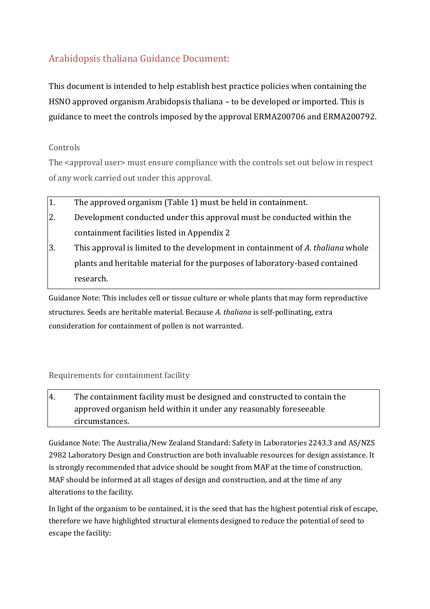# Arabidopsis thaliana Guidance Document:

This document is intended to help establish best practice policies when containing the HSNO approved organism Arabidopsis thaliana – to be developed or imported. This is guidance to meet the controls imposed by the approval ERMA200706 and ERMA200792.

## Controls

The <approval user> must ensure compliance with the controls set out below in respect of any work carried out under this approval.

- 1. The approved organism (Table 1) must be held in containment.
- 2. Development conducted under this approval must be conducted within the containment facilities listed in Appendix 2
- 3. This approval is limited to the development in containment of *A. thaliana* whole plants and heritable material for the purposes of laboratory-based contained research.

Guidance Note: This includes cell or tissue culture or whole plants that may form reproductive structures. Seeds are heritable material. Because *A. thaliana* is self-pollinating, extra consideration for containment of pollen is not warranted.

## Requirements for containment facility

4. The containment facility must be designed and constructed to contain the approved organism held within it under any reasonably foreseeable circumstances.

Guidance Note: The Australia/New Zealand Standard: Safety in Laboratories 2243.3 and AS/NZS 2982 Laboratory Design and Construction are both invaluable resources for design assistance. It is strongly recommended that advice should be sought from MAF at the time of construction. MAF should be informed at all stages of design and construction, and at the time of any alterations to the facility.

In light of the organism to be contained, it is the seed that has the highest potential risk of escape, therefore we have highlighted structural elements designed to reduce the potential of seed to escape the facility: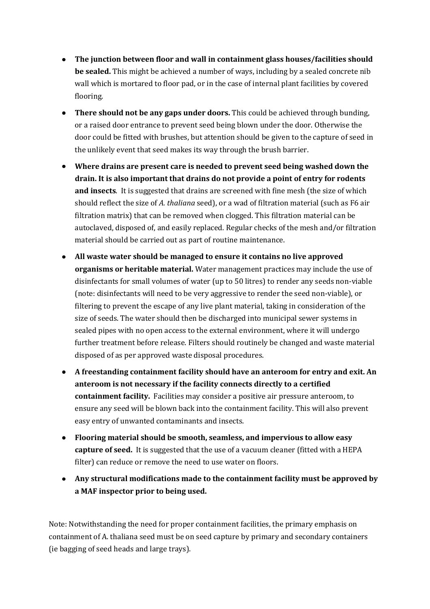- **The junction between floor and wall in containment glass houses/facilities should be sealed.** This might be achieved a number of ways, including by a sealed concrete nib wall which is mortared to floor pad, or in the case of internal plant facilities by covered flooring.
- **There should not be any gaps under doors.** This could be achieved through bunding, or a raised door entrance to prevent seed being blown under the door. Otherwise the door could be fitted with brushes, but attention should be given to the capture of seed in the unlikely event that seed makes its way through the brush barrier.
- **Where drains are present care is needed to prevent seed being washed down the drain. It is also important that drains do not provide a point of entry for rodents and insects**. It is suggested that drains are screened with fine mesh (the size of which should reflect the size of *A. thaliana* seed), or a wad of filtration material (such as F6 air filtration matrix) that can be removed when clogged. This filtration material can be autoclaved, disposed of, and easily replaced. Regular checks of the mesh and/or filtration material should be carried out as part of routine maintenance.
- **All waste water should be managed to ensure it contains no live approved organisms or heritable material.** Water management practices may include the use of disinfectants for small volumes of water (up to 50 litres) to render any seeds non-viable (note: disinfectants will need to be very aggressive to render the seed non-viable), or filtering to prevent the escape of any live plant material, taking in consideration of the size of seeds. The water should then be discharged into municipal sewer systems in sealed pipes with no open access to the external environment, where it will undergo further treatment before release. Filters should routinely be changed and waste material disposed of as per approved waste disposal procedures.
- **A freestanding containment facility should have an anteroom for entry and exit. An anteroom is not necessary if the facility connects directly to a certified containment facility.** Facilities may consider a positive air pressure anteroom, to ensure any seed will be blown back into the containment facility. This will also prevent easy entry of unwanted contaminants and insects.
- **Flooring material should be smooth, seamless, and impervious to allow easy capture of seed.** It is suggested that the use of a vacuum cleaner (fitted with a HEPA filter) can reduce or remove the need to use water on floors.
- **Any structural modifications made to the containment facility must be approved by a MAF inspector prior to being used.**

Note: Notwithstanding the need for proper containment facilities, the primary emphasis on containment of A. thaliana seed must be on seed capture by primary and secondary containers (ie bagging of seed heads and large trays).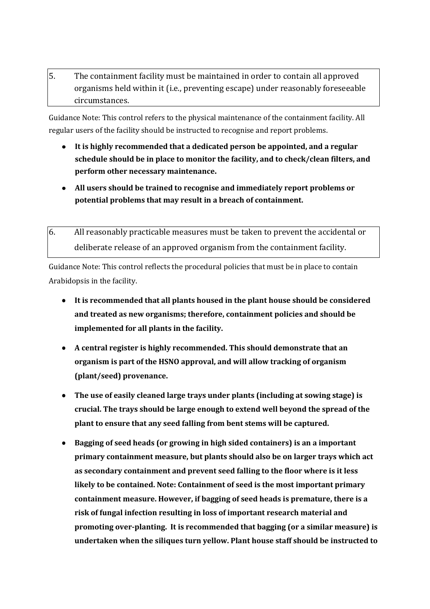5. The containment facility must be maintained in order to contain all approved organisms held within it (i.e., preventing escape) under reasonably foreseeable circumstances.

Guidance Note: This control refers to the physical maintenance of the containment facility. All regular users of the facility should be instructed to recognise and report problems.

- **It is highly recommended that a dedicated person be appointed, and a regular schedule should be in place to monitor the facility, and to check/clean filters, and perform other necessary maintenance.**
- **All users should be trained to recognise and immediately report problems or potential problems that may result in a breach of containment.**
- 6. All reasonably practicable measures must be taken to prevent the accidental or deliberate release of an approved organism from the containment facility.

Guidance Note: This control reflects the procedural policies that must be in place to contain Arabidopsis in the facility.

- **It is recommended that all plants housed in the plant house should be considered and treated as new organisms; therefore, containment policies and should be implemented for all plants in the facility.**
- **A central register is highly recommended. This should demonstrate that an organism is part of the HSNO approval, and will allow tracking of organism (plant/seed) provenance.**
- $\bullet$ **The use of easily cleaned large trays under plants (including at sowing stage) is crucial. The trays should be large enough to extend well beyond the spread of the plant to ensure that any seed falling from bent stems will be captured.**
- **Bagging of seed heads (or growing in high sided containers) is an a important primary containment measure, but plants should also be on larger trays which act as secondary containment and prevent seed falling to the floor where is it less likely to be contained. Note: Containment of seed is the most important primary containment measure. However, if bagging of seed heads is premature, there is a risk of fungal infection resulting in loss of important research material and promoting over-planting. It is recommended that bagging (or a similar measure) is undertaken when the siliques turn yellow. Plant house staff should be instructed to**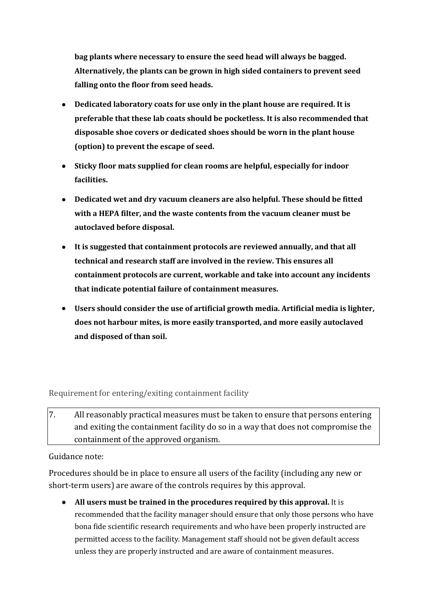**bag plants where necessary to ensure the seed head will always be bagged. Alternatively, the plants can be grown in high sided containers to prevent seed falling onto the floor from seed heads.**

- **Dedicated laboratory coats for use only in the plant house are required. It is preferable that these lab coats should be pocketless. It is also recommended that disposable shoe covers or dedicated shoes should be worn in the plant house (option) to prevent the escape of seed.**
- **Sticky floor mats supplied for clean rooms are helpful, especially for indoor facilities.**
- **Dedicated wet and dry vacuum cleaners are also helpful. These should be fitted with a HEPA filter, and the waste contents from the vacuum cleaner must be autoclaved before disposal.**
- **It is suggested that containment protocols are reviewed annually, and that all technical and research staff are involved in the review. This ensures all containment protocols are current, workable and take into account any incidents that indicate potential failure of containment measures.**
- **Users should consider the use of artificial growth media. Artificial media is lighter, does not harbour mites, is more easily transported, and more easily autoclaved and disposed of than soil.**

Requirement for entering/exiting containment facility

7. All reasonably practical measures must be taken to ensure that persons entering and exiting the containment facility do so in a way that does not compromise the containment of the approved organism.

Guidance note:

Procedures should be in place to ensure all users of the facility (including any new or short-term users) are aware of the controls requires by this approval.

**All users must be trained in the procedures required by this approval.** It is recommended that the facility manager should ensure that only those persons who have bona fide scientific research requirements and who have been properly instructed are permitted access to the facility. Management staff should not be given default access unless they are properly instructed and are aware of containment measures.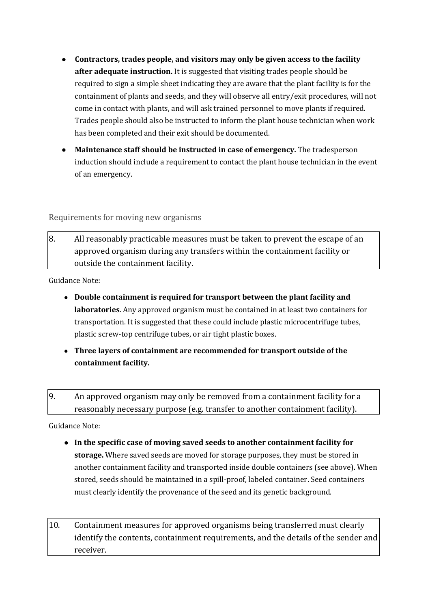- **Contractors, trades people, and visitors may only be given access to the facility after adequate instruction.** It is suggested that visiting trades people should be required to sign a simple sheet indicating they are aware that the plant facility is for the containment of plants and seeds, and they will observe all entry/exit procedures, will not come in contact with plants, and will ask trained personnel to move plants if required. Trades people should also be instructed to inform the plant house technician when work has been completed and their exit should be documented.
- **Maintenance staff should be instructed in case of emergency.** The tradesperson induction should include a requirement to contact the plant house technician in the event of an emergency.

Requirements for moving new organisms

8. All reasonably practicable measures must be taken to prevent the escape of an approved organism during any transfers within the containment facility or outside the containment facility.

Guidance Note:

- **Double containment is required for transport between the plant facility and laboratories**. Any approved organism must be contained in at least two containers for transportation. It is suggested that these could include plastic microcentrifuge tubes, plastic screw-top centrifuge tubes, or air tight plastic boxes.
- **Three layers of containment are recommended for transport outside of the containment facility.**
- 9. An approved organism may only be removed from a containment facility for a reasonably necessary purpose (e.g. transfer to another containment facility).

Guidance Note:

- **In the specific case of moving saved seeds to another containment facility for storage.** Where saved seeds are moved for storage purposes, they must be stored in another containment facility and transported inside double containers (see above). When stored, seeds should be maintained in a spill-proof, labeled container. Seed containers must clearly identify the provenance of the seed and its genetic background.
- 10. Containment measures for approved organisms being transferred must clearly identify the contents, containment requirements, and the details of the sender and receiver.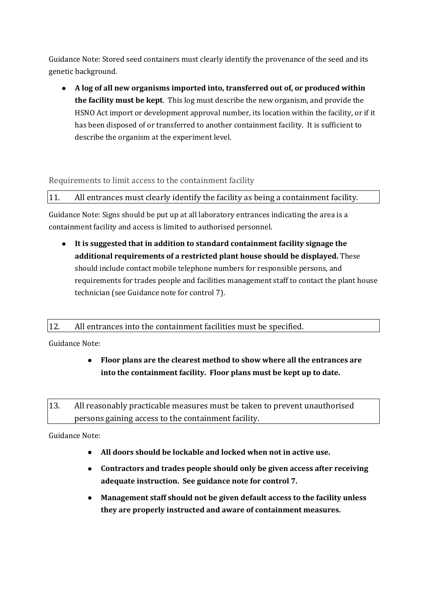Guidance Note: Stored seed containers must clearly identify the provenance of the seed and its genetic background.

**A log of all new organisms imported into, transferred out of, or produced within the facility must be kept**. This log must describe the new organism, and provide the HSNO Act import or development approval number, its location within the facility, or if it has been disposed of or transferred to another containment facility. It is sufficient to describe the organism at the experiment level.

#### Requirements to limit access to the containment facility

11. All entrances must clearly identify the facility as being a containment facility.

Guidance Note: Signs should be put up at all laboratory entrances indicating the area is a containment facility and access is limited to authorised personnel.

**It is suggested that in addition to standard containment facility signage the additional requirements of a restricted plant house should be displayed.** These should include contact mobile telephone numbers for responsible persons, and requirements for trades people and facilities management staff to contact the plant house technician (see Guidance note for control 7).

#### 12. All entrances into the containment facilities must be specified.

Guidance Note:

- **Floor plans are the clearest method to show where all the entrances are into the containment facility. Floor plans must be kept up to date.**
- 13. All reasonably practicable measures must be taken to prevent unauthorised persons gaining access to the containment facility.

Guidance Note:

- **All doors should be lockable and locked when not in active use.**
- **Contractors and trades people should only be given access after receiving adequate instruction. See guidance note for control 7.**
- **Management staff should not be given default access to the facility unless**   $\bullet$ **they are properly instructed and aware of containment measures.**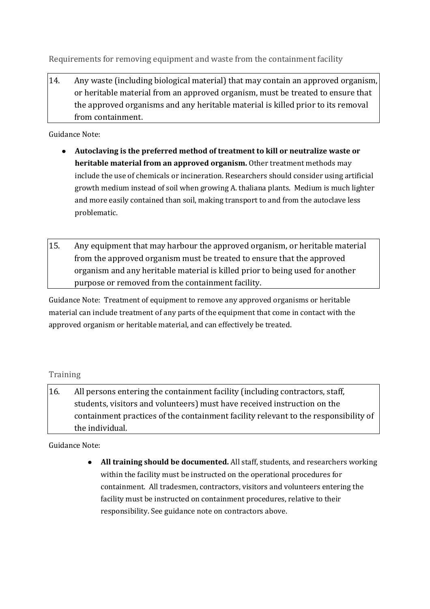Requirements for removing equipment and waste from the containment facility

14. Any waste (including biological material) that may contain an approved organism, or heritable material from an approved organism, must be treated to ensure that the approved organisms and any heritable material is killed prior to its removal from containment.

Guidance Note:

- **Autoclaving is the preferred method of treatment to kill or neutralize waste or heritable material from an approved organism.** Other treatment methods may include the use of chemicals or incineration. Researchers should consider using artificial growth medium instead of soil when growing A. thaliana plants. Medium is much lighter and more easily contained than soil, making transport to and from the autoclave less problematic.
- 15. Any equipment that may harbour the approved organism, or heritable material from the approved organism must be treated to ensure that the approved organism and any heritable material is killed prior to being used for another purpose or removed from the containment facility.

Guidance Note: Treatment of equipment to remove any approved organisms or heritable material can include treatment of any parts of the equipment that come in contact with the approved organism or heritable material, and can effectively be treated.

#### Training

16. All persons entering the containment facility (including contractors, staff, students, visitors and volunteers) must have received instruction on the containment practices of the containment facility relevant to the responsibility of the individual.

Guidance Note:

**All training should be documented.** All staff, students, and researchers working within the facility must be instructed on the operational procedures for containment. All tradesmen, contractors, visitors and volunteers entering the facility must be instructed on containment procedures, relative to their responsibility. See guidance note on contractors above.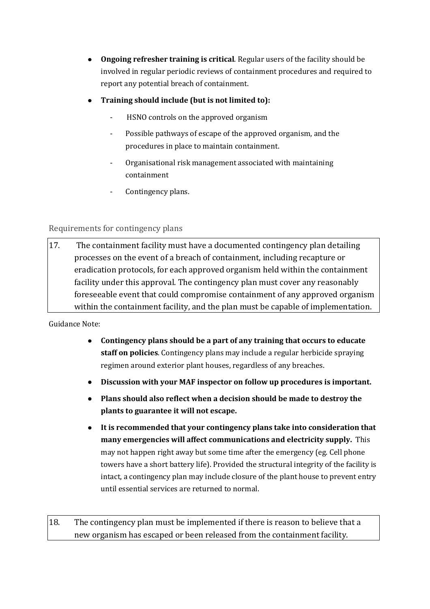- **Ongoing refresher training is critical**. Regular users of the facility should be involved in regular periodic reviews of containment procedures and required to report any potential breach of containment.
- **Training should include (but is not limited to):**
	- HSNO controls on the approved organism
	- Possible pathways of escape of the approved organism, and the procedures in place to maintain containment.
	- Organisational risk management associated with maintaining containment
	- Contingency plans.

## Requirements for contingency plans

17. The containment facility must have a documented contingency plan detailing processes on the event of a breach of containment, including recapture or eradication protocols, for each approved organism held within the containment facility under this approval. The contingency plan must cover any reasonably foreseeable event that could compromise containment of any approved organism within the containment facility, and the plan must be capable of implementation.

Guidance Note:

- **Contingency plans should be a part of any training that occurs to educate staff on policies**. Contingency plans may include a regular herbicide spraying regimen around exterior plant houses, regardless of any breaches.
- **Discussion with your MAF inspector on follow up procedures is important.**
- **Plans should also reflect when a decision should be made to destroy the plants to guarantee it will not escape.**
- **It is recommended that your contingency plans take into consideration that many emergencies will affect communications and electricity supply.** This may not happen right away but some time after the emergency (eg. Cell phone towers have a short battery life). Provided the structural integrity of the facility is intact, a contingency plan may include closure of the plant house to prevent entry until essential services are returned to normal.

18. The contingency plan must be implemented if there is reason to believe that a new organism has escaped or been released from the containment facility.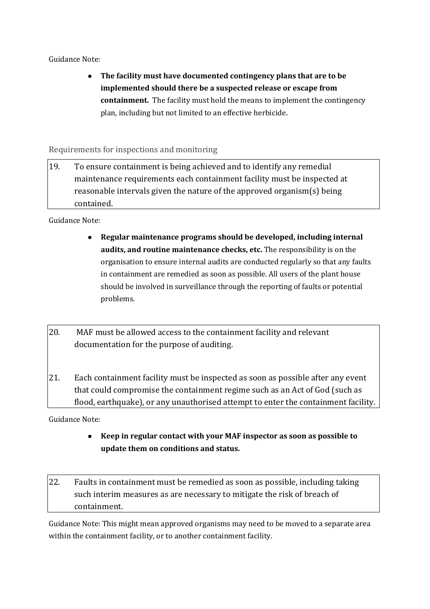#### Guidance Note:

**The facility must have documented contingency plans that are to be implemented should there be a suspected release or escape from containment.** The facility must hold the means to implement the contingency plan, including but not limited to an effective herbicide.

Requirements for inspections and monitoring

19. To ensure containment is being achieved and to identify any remedial maintenance requirements each containment facility must be inspected at reasonable intervals given the nature of the approved organism(s) being contained.

Guidance Note:

- **Regular maintenance programs should be developed, including internal audits, and routine maintenance checks, etc.** The responsibility is on the organisation to ensure internal audits are conducted regularly so that any faults in containment are remedied as soon as possible. All users of the plant house should be involved in surveillance through the reporting of faults or potential problems.
- 20. MAF must be allowed access to the containment facility and relevant documentation for the purpose of auditing.
- 21. Each containment facility must be inspected as soon as possible after any event that could compromise the containment regime such as an Act of God (such as flood, earthquake), or any unauthorised attempt to enter the containment facility.

Guidance Note:

 $\bullet$ **Keep in regular contact with your MAF inspector as soon as possible to update them on conditions and status.**

22. Faults in containment must be remedied as soon as possible, including taking such interim measures as are necessary to mitigate the risk of breach of containment.

Guidance Note: This might mean approved organisms may need to be moved to a separate area within the containment facility, or to another containment facility.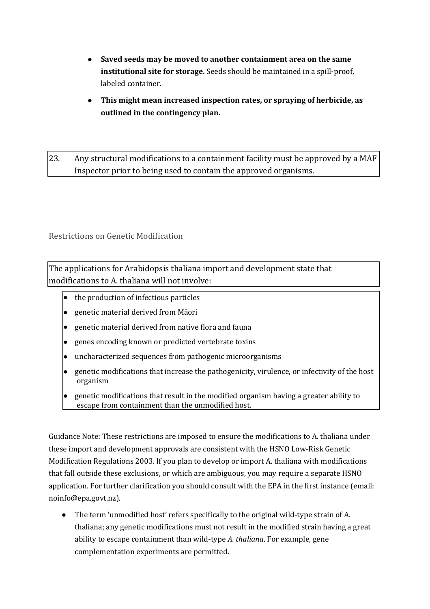- **Saved seeds may be moved to another containment area on the same institutional site for storage.** Seeds should be maintained in a spill-proof, labeled container.
- **This might mean increased inspection rates, or spraying of herbicide, as outlined in the contingency plan.**

23. Any structural modifications to a containment facility must be approved by a MAF Inspector prior to being used to contain the approved organisms.

Restrictions on Genetic Modification

The applications for Arabidopsis thaliana import and development state that modifications to A. thaliana will not involve:

- the production of infectious particles
- genetic material derived from Māori
- genetic material derived from native flora and fauna
- genes encoding known or predicted vertebrate toxins
- uncharacterized sequences from pathogenic microorganisms
- genetic modifications that increase the pathogenicity, virulence, or infectivity of the host organism
- genetic modifications that result in the modified organism having a greater ability to escape from containment than the unmodified host.

Guidance Note: These restrictions are imposed to ensure the modifications to A. thaliana under these import and development approvals are consistent with the HSNO Low-Risk Genetic Modification Regulations 2003. If you plan to develop or import A. thaliana with modifications that fall outside these exclusions, or which are ambiguous, you may require a separate HSNO application. For further clarification you should consult with the EPA in the first instance (email: noinfo@epa.govt.nz).

The term 'unmodified host' refers specifically to the original wild-type strain of A. thaliana; any genetic modifications must not result in the modified strain having a great ability to escape containment than wild-type *A. thaliana*. For example, gene complementation experiments are permitted.